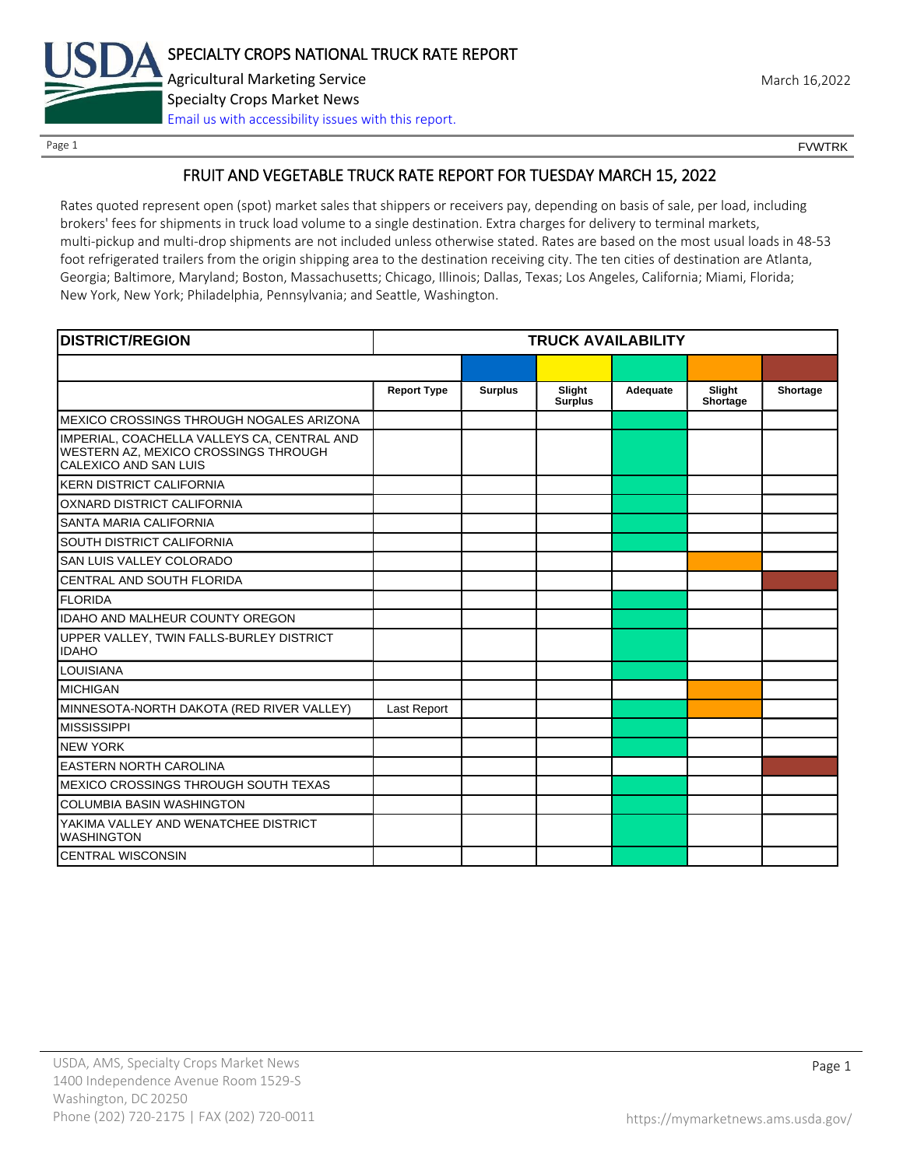

Page 1 FOUNTRK CONTROL CONTROL CONTROL CONTROL CONTROL CONTROL CONTROL CONTROL CONTROL CONTROL CONTROL CONTROL CONTROL CONTROL CONTROL CONTROL CONTROL CONTROL CONTROL CONTROL CONTROL CONTROL CONTROL CONTROL CONTROL CONTROL

## FRUIT AND VEGETABLE TRUCK RATE REPORT FOR TUESDAY MARCH 15, 2022

Rates quoted represent open (spot) market sales that shippers or receivers pay, depending on basis of sale, per load, including brokers' fees for shipments in truck load volume to a single destination. Extra charges for delivery to terminal markets, multi-pickup and multi-drop shipments are not included unless otherwise stated. Rates are based on the most usual loads in 48-53 foot refrigerated trailers from the origin shipping area to the destination receiving city. The ten cities of destination are Atlanta, Georgia; Baltimore, Maryland; Boston, Massachusetts; Chicago, Illinois; Dallas, Texas; Los Angeles, California; Miami, Florida; New York, New York; Philadelphia, Pennsylvania; and Seattle, Washington.

| <b>DISTRICT/REGION</b>                                                                                       | <b>TRUCK AVAILABILITY</b> |                |                          |          |                    |          |
|--------------------------------------------------------------------------------------------------------------|---------------------------|----------------|--------------------------|----------|--------------------|----------|
|                                                                                                              |                           |                |                          |          |                    |          |
|                                                                                                              | <b>Report Type</b>        | <b>Surplus</b> | Slight<br><b>Surplus</b> | Adequate | Slight<br>Shortage | Shortage |
| MEXICO CROSSINGS THROUGH NOGALES ARIZONA                                                                     |                           |                |                          |          |                    |          |
| IMPERIAL, COACHELLA VALLEYS CA, CENTRAL AND<br>WESTERN AZ, MEXICO CROSSINGS THROUGH<br>CALEXICO AND SAN LUIS |                           |                |                          |          |                    |          |
| <b>KERN DISTRICT CALIFORNIA</b>                                                                              |                           |                |                          |          |                    |          |
| OXNARD DISTRICT CALIFORNIA                                                                                   |                           |                |                          |          |                    |          |
| SANTA MARIA CALIFORNIA                                                                                       |                           |                |                          |          |                    |          |
| <b>SOUTH DISTRICT CALIFORNIA</b>                                                                             |                           |                |                          |          |                    |          |
| SAN LUIS VALLEY COLORADO                                                                                     |                           |                |                          |          |                    |          |
| CENTRAL AND SOUTH FLORIDA                                                                                    |                           |                |                          |          |                    |          |
| <b>FLORIDA</b>                                                                                               |                           |                |                          |          |                    |          |
| <b>IDAHO AND MALHEUR COUNTY OREGON</b>                                                                       |                           |                |                          |          |                    |          |
| UPPER VALLEY, TWIN FALLS-BURLEY DISTRICT<br><b>IDAHO</b>                                                     |                           |                |                          |          |                    |          |
| <b>LOUISIANA</b>                                                                                             |                           |                |                          |          |                    |          |
| <b>MICHIGAN</b>                                                                                              |                           |                |                          |          |                    |          |
| MINNESOTA-NORTH DAKOTA (RED RIVER VALLEY)                                                                    | Last Report               |                |                          |          |                    |          |
| <b>MISSISSIPPI</b>                                                                                           |                           |                |                          |          |                    |          |
| <b>NEW YORK</b>                                                                                              |                           |                |                          |          |                    |          |
| <b>EASTERN NORTH CAROLINA</b>                                                                                |                           |                |                          |          |                    |          |
| MEXICO CROSSINGS THROUGH SOUTH TEXAS                                                                         |                           |                |                          |          |                    |          |
| <b>COLUMBIA BASIN WASHINGTON</b>                                                                             |                           |                |                          |          |                    |          |
| YAKIMA VALLEY AND WENATCHEE DISTRICT<br><b>WASHINGTON</b>                                                    |                           |                |                          |          |                    |          |
| <b>CENTRAL WISCONSIN</b>                                                                                     |                           |                |                          |          |                    |          |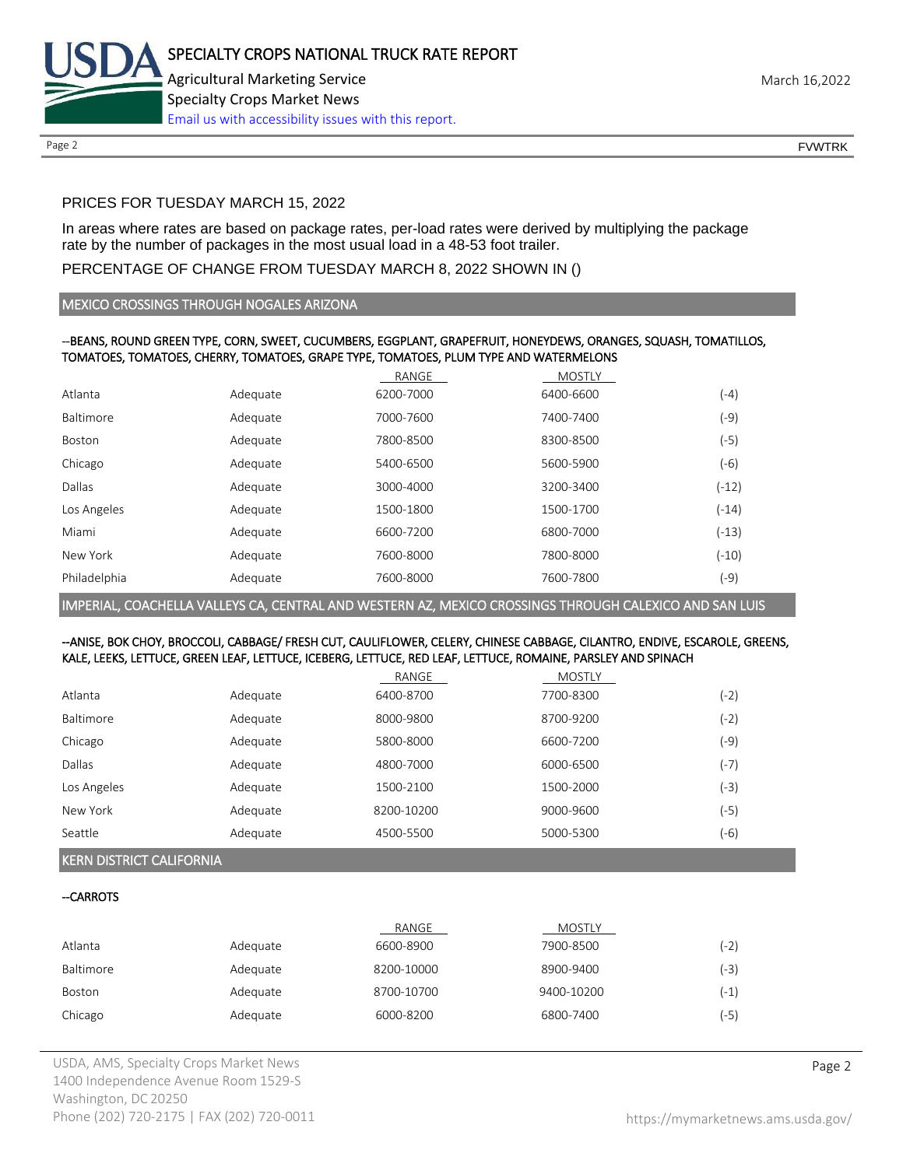

Page 2 FOUNTRK CONTROL CONTROL CONTROL CONTROL CONTROL CONTROL CONTROL CONTROL CONTROL CONTROL CONTROL CONTROL CONTROL CONTROL CONTROL CONTROL CONTROL CONTROL CONTROL CONTROL CONTROL CONTROL CONTROL CONTROL CONTROL CONTROL

### PRICES FOR TUESDAY MARCH 15, 2022

In areas where rates are based on package rates, per-load rates were derived by multiplying the package rate by the number of packages in the most usual load in a 48-53 foot trailer.

#### PERCENTAGE OF CHANGE FROM TUESDAY MARCH 8, 2022 SHOWN IN ()

#### MEXICO CROSSINGS THROUGH NOGALES ARIZONA

#### --BEANS, ROUND GREEN TYPE, CORN, SWEET, CUCUMBERS, EGGPLANT, GRAPEFRUIT, HONEYDEWS, ORANGES, SQUASH, TOMATILLOS, TOMATOES, TOMATOES, CHERRY, TOMATOES, GRAPE TYPE, TOMATOES, PLUM TYPE AND WATERMELONS

|              |          | RANGE     | <b>MOSTLY</b> |         |
|--------------|----------|-----------|---------------|---------|
| Atlanta      | Adequate | 6200-7000 | 6400-6600     | $(-4)$  |
| Baltimore    | Adequate | 7000-7600 | 7400-7400     | (-9)    |
| Boston       | Adequate | 7800-8500 | 8300-8500     | (-5)    |
| Chicago      | Adequate | 5400-6500 | 5600-5900     | $(-6)$  |
| Dallas       | Adequate | 3000-4000 | 3200-3400     | $(-12)$ |
| Los Angeles  | Adequate | 1500-1800 | 1500-1700     | $(-14)$ |
| Miami        | Adequate | 6600-7200 | 6800-7000     | $(-13)$ |
| New York     | Adequate | 7600-8000 | 7800-8000     | $(-10)$ |
| Philadelphia | Adequate | 7600-8000 | 7600-7800     | (-9)    |

IMPERIAL, COACHELLA VALLEYS CA, CENTRAL AND WESTERN AZ, MEXICO CROSSINGS THROUGH CALEXICO AND SAN LUIS

#### --ANISE, BOK CHOY, BROCCOLI, CABBAGE/ FRESH CUT, CAULIFLOWER, CELERY, CHINESE CABBAGE, CILANTRO, ENDIVE, ESCAROLE, GREENS, KALE, LEEKS, LETTUCE, GREEN LEAF, LETTUCE, ICEBERG, LETTUCE, RED LEAF, LETTUCE, ROMAINE, PARSLEY AND SPINACH

|             |          | RANGE      | <b>MOSTLY</b> |      |
|-------------|----------|------------|---------------|------|
| Atlanta     | Adequate | 6400-8700  | 7700-8300     | (-2) |
| Baltimore   | Adequate | 8000-9800  | 8700-9200     | (-2) |
| Chicago     | Adequate | 5800-8000  | 6600-7200     | (-9) |
| Dallas      | Adequate | 4800-7000  | 6000-6500     | (-7) |
| Los Angeles | Adequate | 1500-2100  | 1500-2000     | (-3) |
| New York    | Adequate | 8200-10200 | 9000-9600     | (-5) |
| Seattle     | Adequate | 4500-5500  | 5000-5300     | (-6) |

#### KERN DISTRICT CALIFORNIA

#### --CARROTS

|           |          | RANGE      | <b>MOSTLY</b> |        |
|-----------|----------|------------|---------------|--------|
| Atlanta   | Adequate | 6600-8900  | 7900-8500     | (-2)   |
| Baltimore | Adequate | 8200-10000 | 8900-9400     | (-3)   |
| Boston    | Adequate | 8700-10700 | 9400-10200    | $(-1)$ |
| Chicago   | Adequate | 6000-8200  | 6800-7400     | $(-5)$ |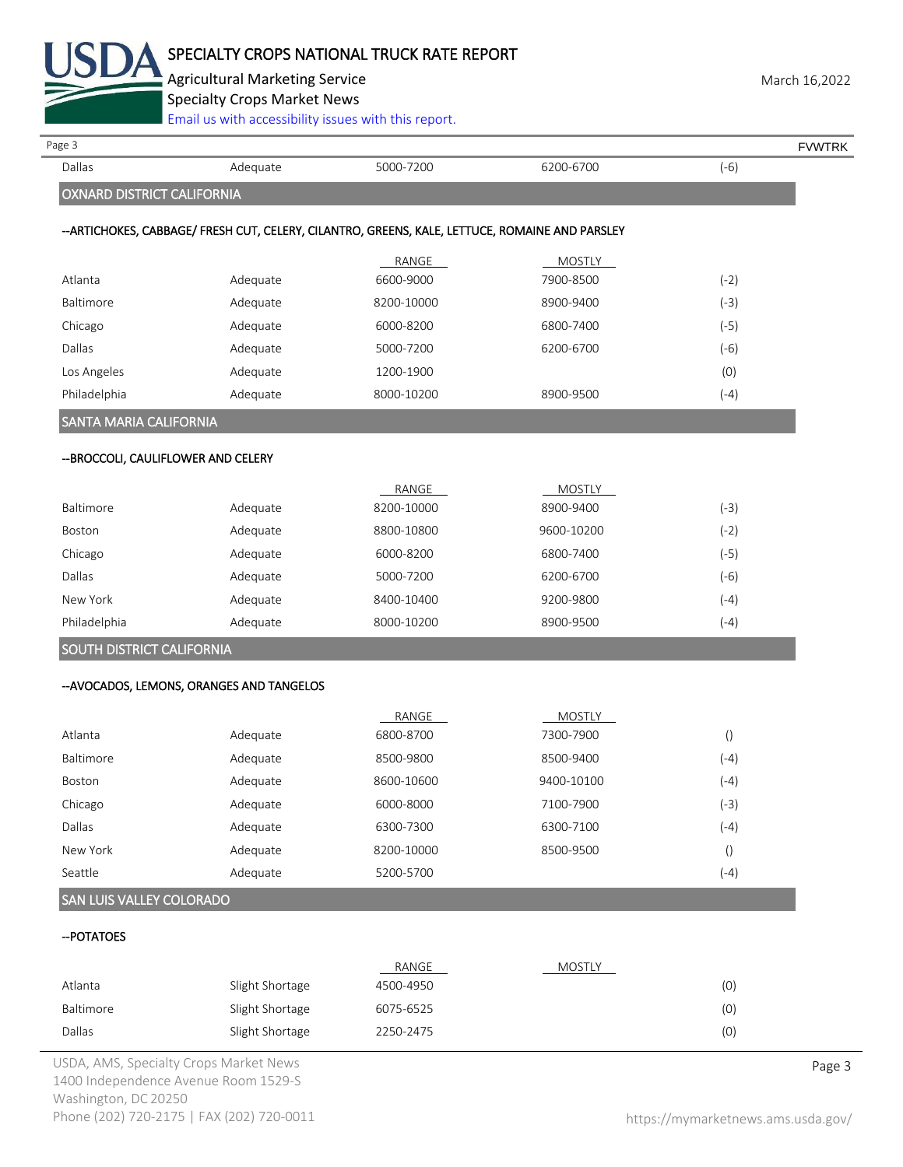

Agricultural Marketing Service **March 16,2022** 

Specialty Crops Market News

| Page 3                              |                                           |                                                                                                |               |                  | <b>FVWTRK</b> |
|-------------------------------------|-------------------------------------------|------------------------------------------------------------------------------------------------|---------------|------------------|---------------|
| Dallas                              | Adequate                                  | 5000-7200                                                                                      | 6200-6700     | $(-6)$           |               |
| OXNARD DISTRICT CALIFORNIA          |                                           |                                                                                                |               |                  |               |
|                                     |                                           | --ARTICHOKES, CABBAGE/ FRESH CUT, CELERY, CILANTRO, GREENS, KALE, LETTUCE, ROMAINE AND PARSLEY |               |                  |               |
|                                     |                                           | RANGE                                                                                          | MOSTLY        |                  |               |
| Atlanta                             | Adequate                                  | 6600-9000                                                                                      | 7900-8500     | $(-2)$           |               |
| Baltimore                           | Adequate                                  | 8200-10000                                                                                     | 8900-9400     | $(-3)$           |               |
| Chicago                             | Adequate                                  | 6000-8200                                                                                      | 6800-7400     | $(-5)$           |               |
| Dallas                              | Adequate                                  | 5000-7200                                                                                      | 6200-6700     | $(-6)$           |               |
| Los Angeles                         | Adequate                                  | 1200-1900                                                                                      |               | (0)              |               |
| Philadelphia                        | Adequate                                  | 8000-10200                                                                                     | 8900-9500     | $(-4)$           |               |
| SANTA MARIA CALIFORNIA              |                                           |                                                                                                |               |                  |               |
| -- BROCCOLI, CAULIFLOWER AND CELERY |                                           |                                                                                                |               |                  |               |
|                                     |                                           | RANGE                                                                                          | <b>MOSTLY</b> |                  |               |
| Baltimore                           | Adequate                                  | 8200-10000                                                                                     | 8900-9400     | $(-3)$           |               |
| Boston                              | Adequate                                  | 8800-10800                                                                                     | 9600-10200    | $(-2)$           |               |
| Chicago                             | Adequate                                  | 6000-8200                                                                                      | 6800-7400     | $(-5)$           |               |
| Dallas                              | Adequate                                  | 5000-7200                                                                                      | 6200-6700     | $(-6)$           |               |
| New York                            | Adequate                                  | 8400-10400                                                                                     | 9200-9800     | $(-4)$           |               |
| Philadelphia                        | Adequate                                  | 8000-10200                                                                                     | 8900-9500     | $(-4)$           |               |
| SOUTH DISTRICT CALIFORNIA           |                                           |                                                                                                |               |                  |               |
|                                     | -- AVOCADOS, LEMONS, ORANGES AND TANGELOS |                                                                                                |               |                  |               |
|                                     |                                           | RANGE                                                                                          | <b>MOSTLY</b> |                  |               |
| Atlanta                             | Adequate                                  | 6800-8700                                                                                      | 7300-7900     | $\left(\right)$  |               |
| Baltimore                           | Adequate                                  | 8500-9800                                                                                      | 8500-9400     | $(-4)$           |               |
| Boston                              | Adequate                                  | 8600-10600                                                                                     | 9400-10100    | $(-4)$           |               |
| Chicago                             | Adequate                                  | 6000-8000                                                                                      | 7100-7900     | $(-3)$           |               |
| Dallas                              | Adequate                                  | 6300-7300                                                                                      | 6300-7100     | $(-4)$           |               |
| New York                            | Adequate                                  | 8200-10000                                                                                     | 8500-9500     | $\left( \right)$ |               |
| Seattle                             | Adequate                                  | 5200-5700                                                                                      |               | $(-4)$           |               |

#### --POTATOES

|           |                 | RANGE     | <b>MOSTLY</b> |     |
|-----------|-----------------|-----------|---------------|-----|
| Atlanta   | Slight Shortage | 4500-4950 |               | (0) |
| Baltimore | Slight Shortage | 6075-6525 |               | (0) |
| Dallas    | Slight Shortage | 2250-2475 |               | (0) |

USDA, AMS, Specialty Crops Market News **Page 3** 1400 Independence Avenue Room 1529-S Washington, DC 20250 Phone (202) 720-2175 | FAX (202) 720-0011 <https://mymarketnews.ams.usda.gov/>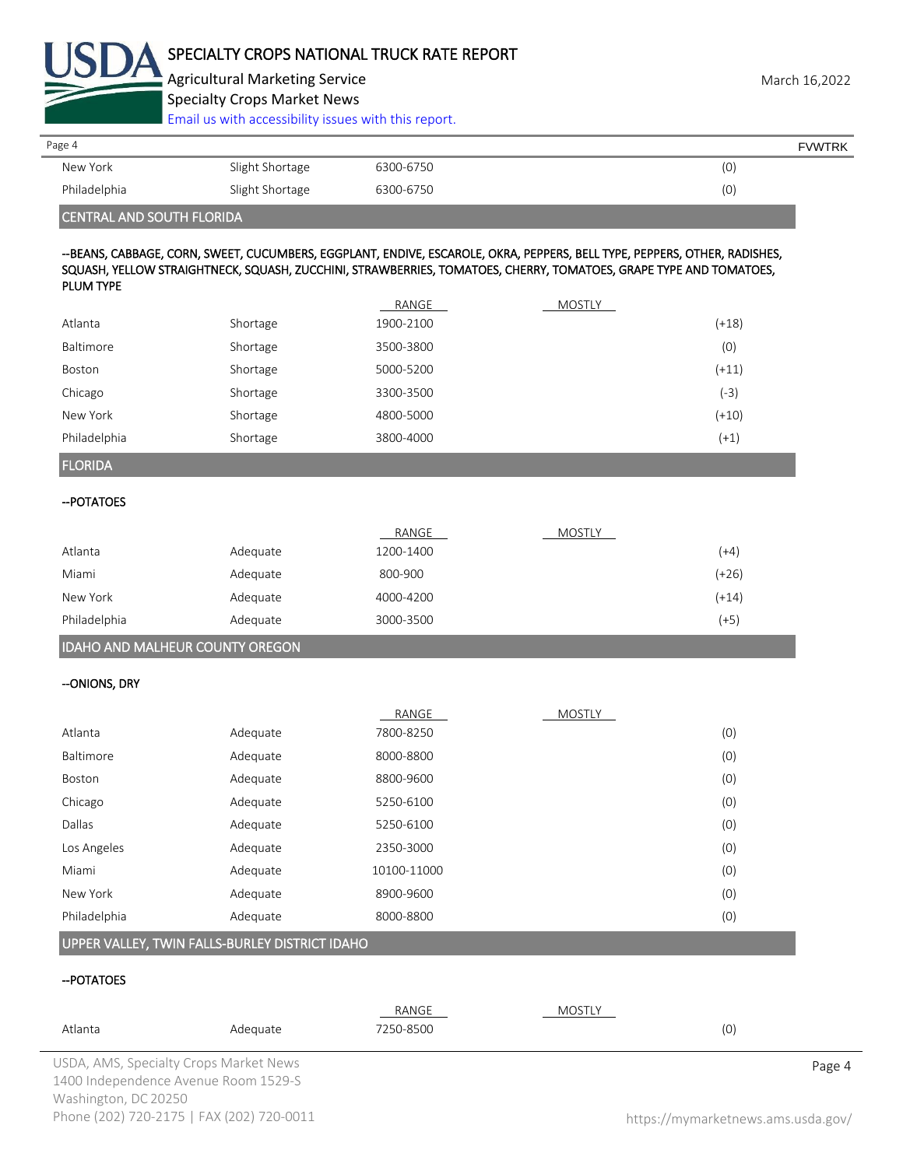

Agricultural Marketing Service **March 16,2022** Specialty Crops Market News

[Email us with accessibility issues with this report.](mailto:mars@ams.usda.gov?subject=508%20Inquiry/Report)

| Page 4       |                 |           | <b>FVWTRK</b> |
|--------------|-----------------|-----------|---------------|
| New York     | Slight Shortage | 6300-6750 | (0)           |
| Philadelphia | Slight Shortage | 6300-6750 | (0)           |
|              |                 |           |               |

#### CENTRAL AND SOUTH FLORIDA

#### --BEANS, CABBAGE, CORN, SWEET, CUCUMBERS, EGGPLANT, ENDIVE, ESCAROLE, OKRA, PEPPERS, BELL TYPE, PEPPERS, OTHER, RADISHES, SQUASH, YELLOW STRAIGHTNECK, SQUASH, ZUCCHINI, STRAWBERRIES, TOMATOES, CHERRY, TOMATOES, GRAPE TYPE AND TOMATOES, PLUM TYPE

|              |          | RANGE     | MOSTLY |         |
|--------------|----------|-----------|--------|---------|
| Atlanta      | Shortage | 1900-2100 |        | $(+18)$ |
| Baltimore    | Shortage | 3500-3800 |        | (0)     |
| Boston       | Shortage | 5000-5200 |        | $(+11)$ |
| Chicago      | Shortage | 3300-3500 |        | $(-3)$  |
| New York     | Shortage | 4800-5000 |        | $(+10)$ |
| Philadelphia | Shortage | 3800-4000 |        | $(+1)$  |

#### FLORIDA

#### --POTATOES

|              |          | RANGE     | <b>MOSTLY</b> |         |
|--------------|----------|-----------|---------------|---------|
| Atlanta      | Adequate | 1200-1400 |               | (+4)    |
| Miami        | Adequate | 800-900   |               | $(+26)$ |
| New York     | Adequate | 4000-4200 |               | $(+14)$ |
| Philadelphia | Adequate | 3000-3500 |               | $(+5)$  |
|              |          |           |               |         |

# IDAHO AND MALHEUR COUNTY OREGON

#### --ONIONS, DRY

|              |          | RANGE       | <b>MOSTLY</b> |     |
|--------------|----------|-------------|---------------|-----|
| Atlanta      | Adequate | 7800-8250   |               | (0) |
| Baltimore    | Adequate | 8000-8800   |               | (0) |
| Boston       | Adequate | 8800-9600   |               | (0) |
| Chicago      | Adequate | 5250-6100   |               | (0) |
| Dallas       | Adequate | 5250-6100   |               | (0) |
| Los Angeles  | Adequate | 2350-3000   |               | (0) |
| Miami        | Adequate | 10100-11000 |               | (0) |
| New York     | Adequate | 8900-9600   |               | (0) |
| Philadelphia | Adequate | 8000-8800   |               | (0) |

# UPPER VALLEY, TWIN FALLS-BURLEY DISTRICT IDAHO

#### --POTATOES

| Atlanta              | Adequate                                  | RANGE<br>7250-8500 | MOSTLY | (0)                                |
|----------------------|-------------------------------------------|--------------------|--------|------------------------------------|
|                      | USDA, AMS, Specialty Crops Market News    |                    |        | Page 4                             |
|                      | 1400 Independence Avenue Room 1529-S      |                    |        |                                    |
| Washington, DC 20250 |                                           |                    |        |                                    |
|                      | Phone (202) 720-2175   FAX (202) 720-0011 |                    |        | https://mymarketnews.ams.usda.gov/ |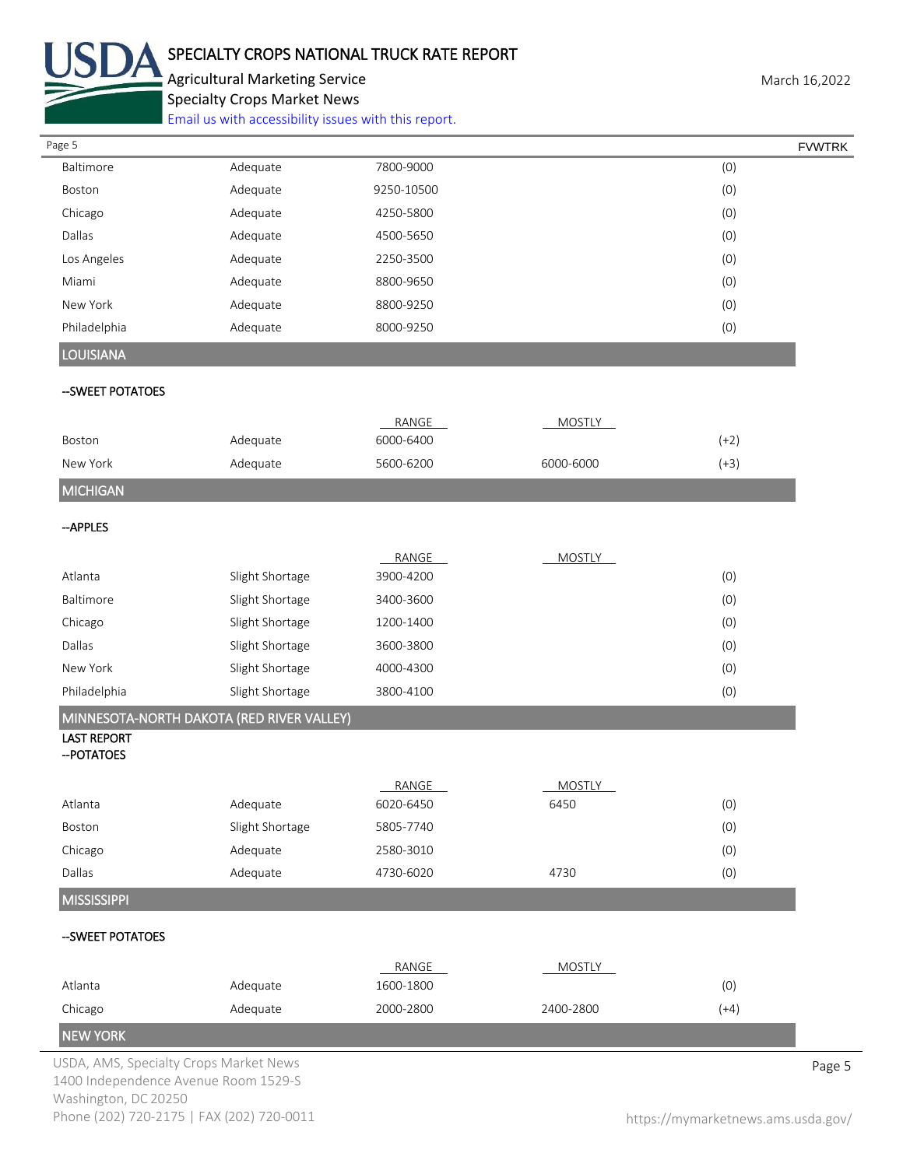

# SPECIALTY CROPS NATIONAL TRUCK RATE REPORT

Agricultural Marketing Service **March 16,2022** Specialty Crops Market News

[Email us with accessibility issues with this report.](mailto:mars@ams.usda.gov?subject=508%20Inquiry/Report)

| Page 5                                 |                                           |            |               |        | <b>FVWTRK</b> |
|----------------------------------------|-------------------------------------------|------------|---------------|--------|---------------|
| Baltimore                              | Adequate                                  | 7800-9000  |               | (0)    |               |
| Boston                                 | Adequate                                  | 9250-10500 |               | (0)    |               |
| Chicago                                | Adequate                                  | 4250-5800  |               | (0)    |               |
| Dallas                                 | Adequate                                  | 4500-5650  |               | (0)    |               |
| Los Angeles                            | Adequate                                  | 2250-3500  |               | (0)    |               |
| Miami                                  | Adequate                                  | 8800-9650  |               | (0)    |               |
| New York                               | Adequate                                  | 8800-9250  |               | (0)    |               |
| Philadelphia                           | Adequate                                  | 8000-9250  |               | (0)    |               |
| <b>LOUISIANA</b>                       |                                           |            |               |        |               |
| --SWEET POTATOES                       |                                           |            |               |        |               |
|                                        |                                           | RANGE      | <b>MOSTLY</b> |        |               |
| Boston                                 | Adequate                                  | 6000-6400  |               | $(+2)$ |               |
| New York                               | Adequate                                  | 5600-6200  | 6000-6000     | $(+3)$ |               |
| <b>MICHIGAN</b>                        |                                           |            |               |        |               |
| --APPLES                               |                                           |            |               |        |               |
|                                        |                                           | RANGE      | <b>MOSTLY</b> |        |               |
| Atlanta                                | Slight Shortage                           | 3900-4200  |               | (0)    |               |
| Baltimore                              | Slight Shortage                           | 3400-3600  |               | (0)    |               |
| Chicago                                | Slight Shortage                           | 1200-1400  |               | (0)    |               |
| Dallas                                 | Slight Shortage                           | 3600-3800  |               | (0)    |               |
| New York                               | Slight Shortage                           | 4000-4300  |               | (0)    |               |
| Philadelphia                           | Slight Shortage                           | 3800-4100  |               | (0)    |               |
|                                        | MINNESOTA-NORTH DAKOTA (RED RIVER VALLEY) |            |               |        |               |
| <b>LAST REPORT</b><br>-- POTATOES      |                                           |            |               |        |               |
|                                        |                                           | RANGE      | <b>MOSTLY</b> |        |               |
| Atlanta                                | Adequate                                  | 6020-6450  | 6450          | (0)    |               |
| Boston                                 | Slight Shortage                           | 5805-7740  |               | (0)    |               |
| Chicago                                | Adequate                                  | 2580-3010  |               | (0)    |               |
| Dallas                                 | Adequate                                  | 4730-6020  | 4730          | (0)    |               |
| <b>MISSISSIPPI</b>                     |                                           |            |               |        |               |
| -- SWEET POTATOES                      |                                           |            |               |        |               |
|                                        |                                           | RANGE      | <b>MOSTLY</b> |        |               |
| Atlanta                                | Adequate                                  | 1600-1800  |               | (0)    |               |
| Chicago                                | Adequate                                  | 2000-2800  | 2400-2800     | $(+4)$ |               |
| <b>NEW YORK</b>                        |                                           |            |               |        |               |
| USDA, AMS, Specialty Crops Market News |                                           |            |               |        | Page 5        |

1400 Independence Avenue Room 1529-S Washington, DC 20250 Phone (202) 720-2175 | FAX (202) 720-0011 <https://mymarketnews.ams.usda.gov/>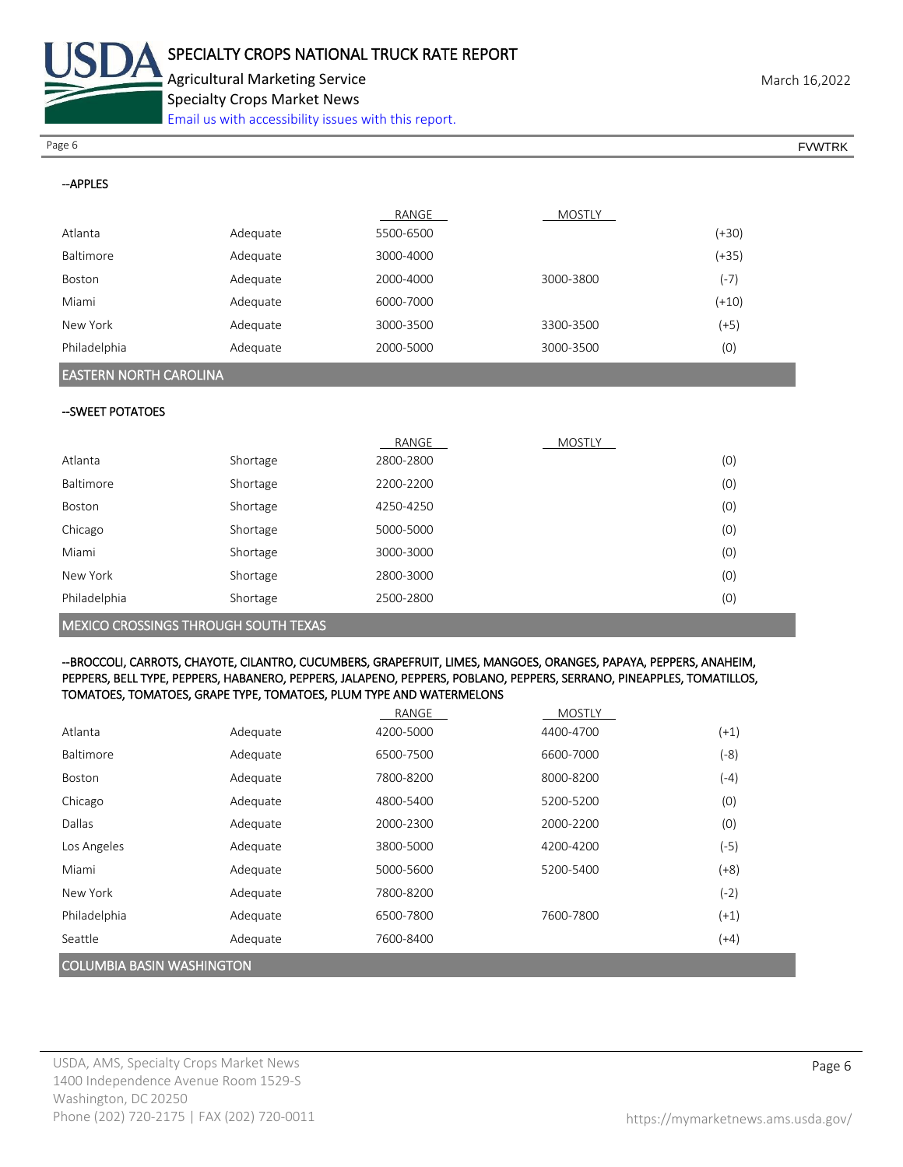

Agricultural Marketing Service **March 16,2022** Specialty Crops Market News

[Email us with accessibility issues with this report.](mailto:mars@ams.usda.gov?subject=508%20Inquiry/Report)

Page 6 FVWTRK

| --APPLES                      |          |           |               |         |
|-------------------------------|----------|-----------|---------------|---------|
|                               |          | RANGE     | <b>MOSTLY</b> |         |
| Atlanta                       | Adequate | 5500-6500 |               | $(+30)$ |
| Baltimore                     | Adequate | 3000-4000 |               | $(+35)$ |
| Boston                        | Adequate | 2000-4000 | 3000-3800     | $(-7)$  |
| Miami                         | Adequate | 6000-7000 |               | $(+10)$ |
| New York                      | Adequate | 3000-3500 | 3300-3500     | $(+5)$  |
| Philadelphia                  | Adequate | 2000-5000 | 3000-3500     | (0)     |
|                               |          |           |               |         |
| <b>EASTERN NORTH CAROLINA</b> |          |           |               |         |
| --SWEET POTATOES              |          |           |               |         |
|                               |          | RANGE     | <b>MOSTLY</b> |         |
| Atlanta                       | Shortage | 2800-2800 |               | (0)     |
| Baltimore                     | Shortage | 2200-2200 |               | (0)     |
| Boston                        | Shortage | 4250-4250 |               | (0)     |
| Chicago                       | Shortage | 5000-5000 |               | (0)     |

| MEXICO CROSSINGS THROUGH SOUTH TEXAS |          |           |     |
|--------------------------------------|----------|-----------|-----|
| Philadelphia                         | Shortage | 2500-2800 | (0) |
| New York                             | Shortage | 2800-3000 | (0) |
| Miami                                | Shortage | 3000-3000 | (0) |

#### --BROCCOLI, CARROTS, CHAYOTE, CILANTRO, CUCUMBERS, GRAPEFRUIT, LIMES, MANGOES, ORANGES, PAPAYA, PEPPERS, ANAHEIM, PEPPERS, BELL TYPE, PEPPERS, HABANERO, PEPPERS, JALAPENO, PEPPERS, POBLANO, PEPPERS, SERRANO, PINEAPPLES, TOMATILLOS, TOMATOES, TOMATOES, GRAPE TYPE, TOMATOES, PLUM TYPE AND WATERMELONS

|                                  |          | RANGE     | <b>MOSTLY</b> |        |
|----------------------------------|----------|-----------|---------------|--------|
| Atlanta                          | Adequate | 4200-5000 | 4400-4700     | $(+1)$ |
| Baltimore                        | Adequate | 6500-7500 | 6600-7000     | $(-8)$ |
| <b>Boston</b>                    | Adequate | 7800-8200 | 8000-8200     | (-4)   |
| Chicago                          | Adequate | 4800-5400 | 5200-5200     | (0)    |
| Dallas                           | Adequate | 2000-2300 | 2000-2200     | (0)    |
| Los Angeles                      | Adequate | 3800-5000 | 4200-4200     | $(-5)$ |
| Miami                            | Adequate | 5000-5600 | 5200-5400     | $(+8)$ |
| New York                         | Adequate | 7800-8200 |               | $(-2)$ |
| Philadelphia                     | Adequate | 6500-7800 | 7600-7800     | $(+1)$ |
| Seattle                          | Adequate | 7600-8400 |               | $(+4)$ |
| <b>COLUMBIA BASIN WASHINGTON</b> |          |           |               |        |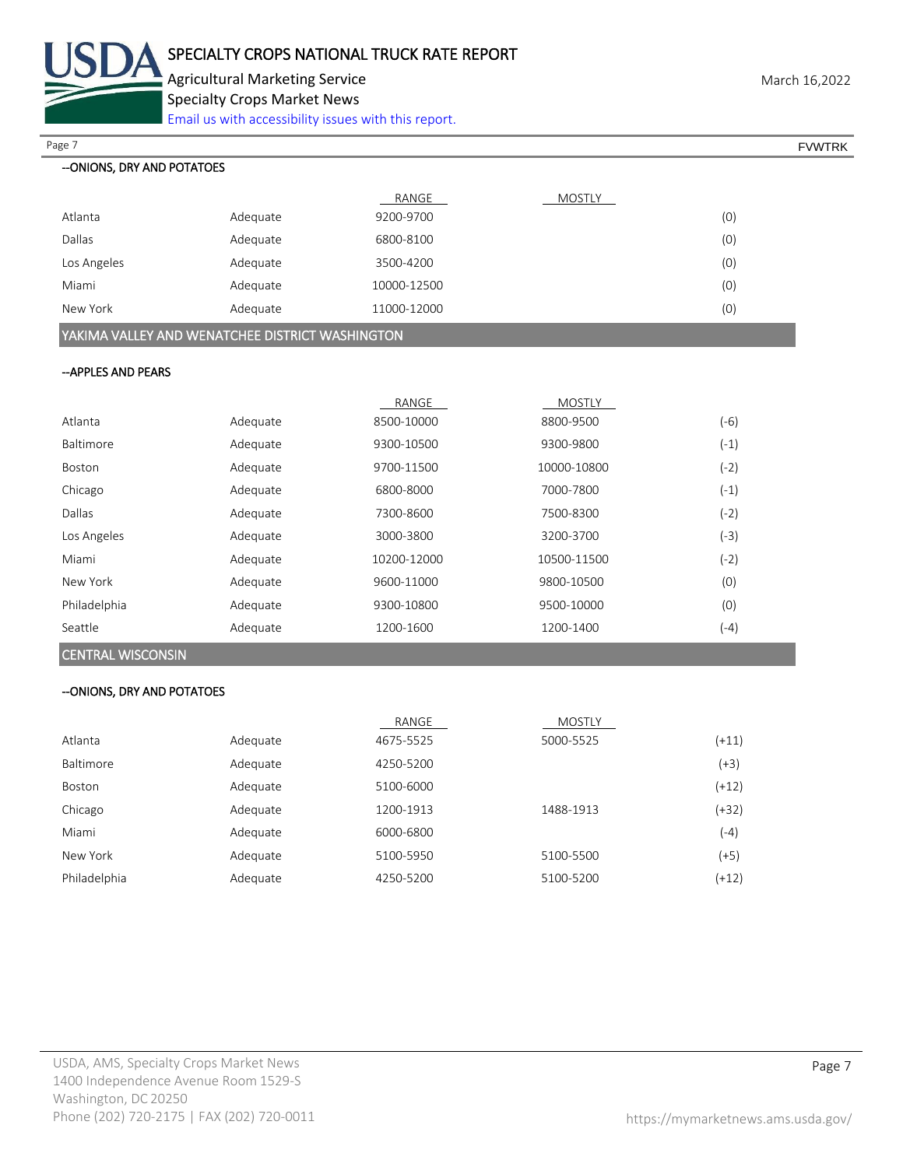

Agricultural Marketing Service **March 16,2022** Specialty Crops Market News

[Email us with accessibility issues with this report.](mailto:mars@ams.usda.gov?subject=508%20Inquiry/Report)

| Page 7                      |                                                 |             |               |         | <b>FVWTRK</b> |
|-----------------------------|-------------------------------------------------|-------------|---------------|---------|---------------|
| -- ONIONS, DRY AND POTATOES |                                                 |             |               |         |               |
|                             |                                                 | RANGE       | <b>MOSTLY</b> |         |               |
| Atlanta                     | Adequate                                        | 9200-9700   |               | (0)     |               |
| Dallas                      | Adequate                                        | 6800-8100   |               | (0)     |               |
| Los Angeles                 | Adequate                                        | 3500-4200   |               | (0)     |               |
| Miami                       | Adequate                                        | 10000-12500 |               | (0)     |               |
| New York                    | Adequate                                        | 11000-12000 |               | (0)     |               |
|                             | YAKIMA VALLEY AND WENATCHEE DISTRICT WASHINGTON |             |               |         |               |
| -- APPLES AND PEARS         |                                                 |             |               |         |               |
|                             |                                                 | RANGE       | MOSTLY        |         |               |
| Atlanta                     | Adequate                                        | 8500-10000  | 8800-9500     | $(-6)$  |               |
| Baltimore                   | Adequate                                        | 9300-10500  | 9300-9800     | $(-1)$  |               |
| Boston                      | Adequate                                        | 9700-11500  | 10000-10800   | $(-2)$  |               |
| Chicago                     | Adequate                                        | 6800-8000   | 7000-7800     | $(-1)$  |               |
| Dallas                      | Adequate                                        | 7300-8600   | 7500-8300     | $(-2)$  |               |
| Los Angeles                 | Adequate                                        | 3000-3800   | 3200-3700     | $(-3)$  |               |
| Miami                       | Adequate                                        | 10200-12000 | 10500-11500   | $(-2)$  |               |
| New York                    | Adequate                                        | 9600-11000  | 9800-10500    | (0)     |               |
| Philadelphia                | Adequate                                        | 9300-10800  | 9500-10000    | (0)     |               |
| Seattle                     | Adequate                                        | 1200-1600   | 1200-1400     | $(-4)$  |               |
| <b>CENTRAL WISCONSIN</b>    |                                                 |             |               |         |               |
| -- ONIONS, DRY AND POTATOES |                                                 |             |               |         |               |
|                             |                                                 | RANGE       | <b>MOSTLY</b> |         |               |
| Atlanta                     | Adequate                                        | 4675-5525   | 5000-5525     | $(+11)$ |               |
| Baltimore                   | Adequate                                        | 4250-5200   |               | $(+3)$  |               |
| Boston                      | Adequate                                        | 5100-6000   |               | $(+12)$ |               |
|                             |                                                 |             |               |         |               |

Chicago Adequate 1200-1913 1488-1913 (+32) Miami Adequate 6000-6800 (-4) New York Adequate 5100-5950 5100-5500 (+5) Philadelphia Adequate 4250-5200 5100-5200 (+12)